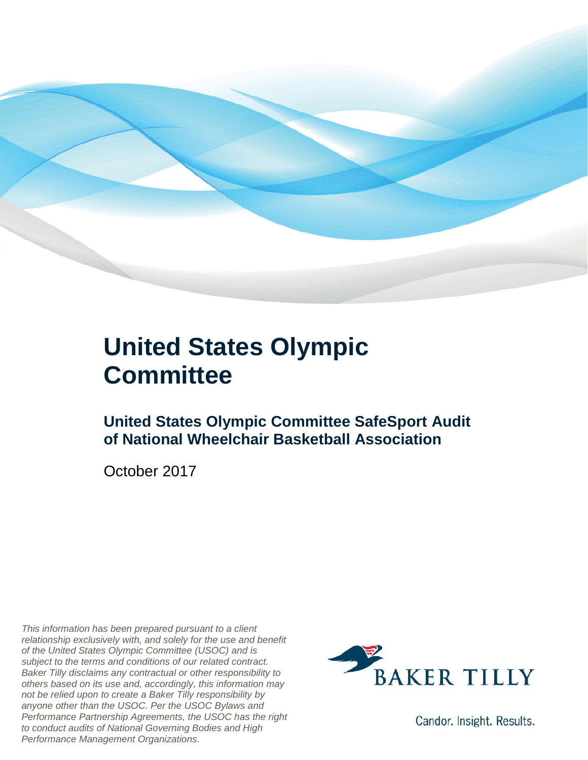

## **United States Olympic Committee**

### **United States Olympic Committee SafeSport Audit of National Wheelchair Basketball Association**

October 2017

*This information has been prepared pursuant to a client relationship exclusively with, and solely for the use and benefit of the United States Olympic Committee (USOC) and is subject to the terms and conditions of our related contract. Baker Tilly disclaims any contractual or other responsibility to others based on its use and, accordingly, this information may not be relied upon to create a Baker Tilly responsibility by anyone other than the USOC. Per the USOC Bylaws and Performance Partnership Agreements, the USOC has the right to conduct audits of National Governing Bodies and High Performance Management Organizations.*



Candor. Insight. Results.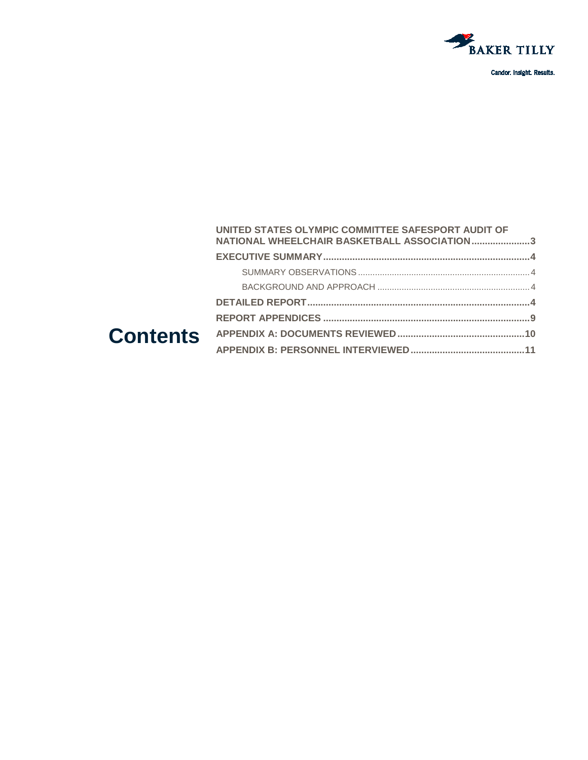

Candor. Insight. Results.

#### **Contents [UNITED STATES OLYMPIC COMMITTEE SAFESPORT AUDIT OF](#page-2-0)  [NATIONAL WHEELCHAIR BASKETBALL ASSOCIATION......................3](#page-2-0) [EXECUTIVE SUMMARY..............................................................................4](#page-3-0)** SUMMARY OBSERVATIONS [.......................................................................4](#page-3-1) BACKGROUND AND APPROACH [...............................................................4](#page-3-2) **[DETAILED REPORT....................................................................................4](#page-3-3) REPORT APPENDICES [..............................................................................9](#page-8-0) [APPENDIX A: DOCUMENTS REVIEWED................................................10](#page-9-0) [APPENDIX B: PERSONNEL INTERVIEWED...........................................11](#page-10-0)**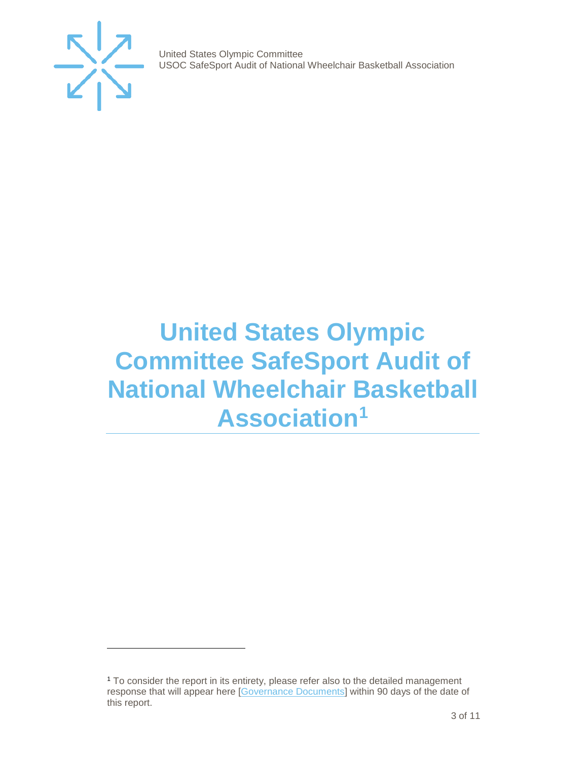

j

United States Olympic Committee USOC SafeSport Audit of National Wheelchair Basketball Association

## <span id="page-2-0"></span>**United States Olympic Committee SafeSport Audit of National Wheelchair Basketball Association[1](#page-2-1)**

<span id="page-2-1"></span><sup>1</sup> To consider the report in its entirety, please refer also to the detailed management response that will appear here [\[Governance Documents\]](https://www.teamusa.org/Footer/Legal/Governance-Documents) within 90 days of the date of this report.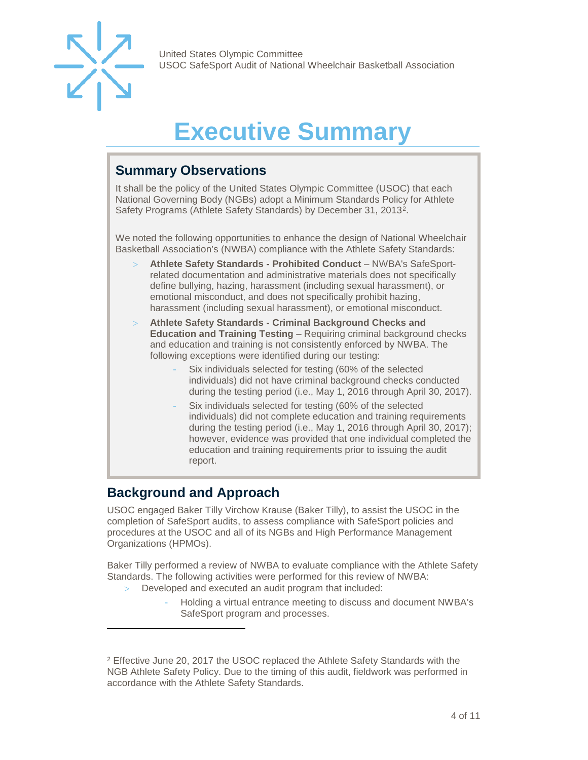

## **Executive Summary**

### <span id="page-3-1"></span><span id="page-3-0"></span>**Summary Observations**

It shall be the policy of the United States Olympic Committee (USOC) that each National Governing Body (NGBs) adopt a Minimum Standards Policy for Athlete Safety Programs (Athlete Safety Standards) by December 31, 2013[2](#page-3-4).

We noted the following opportunities to enhance the design of National Wheelchair Basketball Association's (NWBA) compliance with the Athlete Safety Standards:

- > **Athlete Safety Standards - Prohibited Conduct**  NWBA's SafeSportrelated documentation and administrative materials does not specifically define bullying, hazing, harassment (including sexual harassment), or emotional misconduct, and does not specifically prohibit hazing, harassment (including sexual harassment), or emotional misconduct.
- > **Athlete Safety Standards - Criminal Background Checks and Education and Training Testing** – Requiring criminal background checks and education and training is not consistently enforced by NWBA. The following exceptions were identified during our testing:
	- Six individuals selected for testing (60% of the selected individuals) did not have criminal background checks conducted during the testing period (i.e., May 1, 2016 through April 30, 2017).
	- Six individuals selected for testing (60% of the selected individuals) did not complete education and training requirements during the testing period (i.e., May 1, 2016 through April 30, 2017); however, evidence was provided that one individual completed the education and training requirements prior to issuing the audit report.

### <span id="page-3-2"></span>**Background and Approach**

-

<span id="page-3-3"></span>USOC engaged Baker Tilly Virchow Krause (Baker Tilly), to assist the USOC in the completion of SafeSport audits, to assess compliance with SafeSport policies and procedures at the USOC and all of its NGBs and High Performance Management Organizations (HPMOs).

Baker Tilly performed a review of NWBA to evaluate compliance with the Athlete Safety Standards. The following activities were performed for this review of NWBA:

- Developed and executed an audit program that included:
	- Holding a virtual entrance meeting to discuss and document NWBA's SafeSport program and processes.

<span id="page-3-4"></span><sup>2</sup> Effective June 20, 2017 the USOC replaced the Athlete Safety Standards with the NGB Athlete Safety Policy. Due to the timing of this audit, fieldwork was performed in accordance with the Athlete Safety Standards.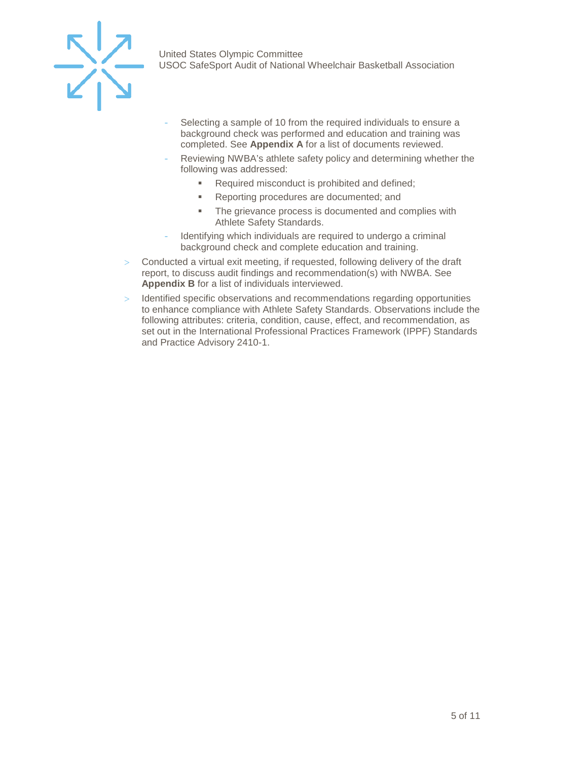

- Selecting a sample of 10 from the required individuals to ensure a background check was performed and education and training was completed. See **Appendix A** for a list of documents reviewed.
- Reviewing NWBA's athlete safety policy and determining whether the following was addressed:
	- Required misconduct is prohibited and defined;
	- **Reporting procedures are documented; and**
	- **The grievance process is documented and complies with** Athlete Safety Standards.
- Identifying which individuals are required to undergo a criminal background check and complete education and training.
- $>$  Conducted a virtual exit meeting, if requested, following delivery of the draft report, to discuss audit findings and recommendation(s) with NWBA. See **Appendix B** for a list of individuals interviewed.
- > Identified specific observations and recommendations regarding opportunities to enhance compliance with Athlete Safety Standards. Observations include the following attributes: criteria, condition, cause, effect, and recommendation, as set out in the International Professional Practices Framework (IPPF) Standards and Practice Advisory 2410-1.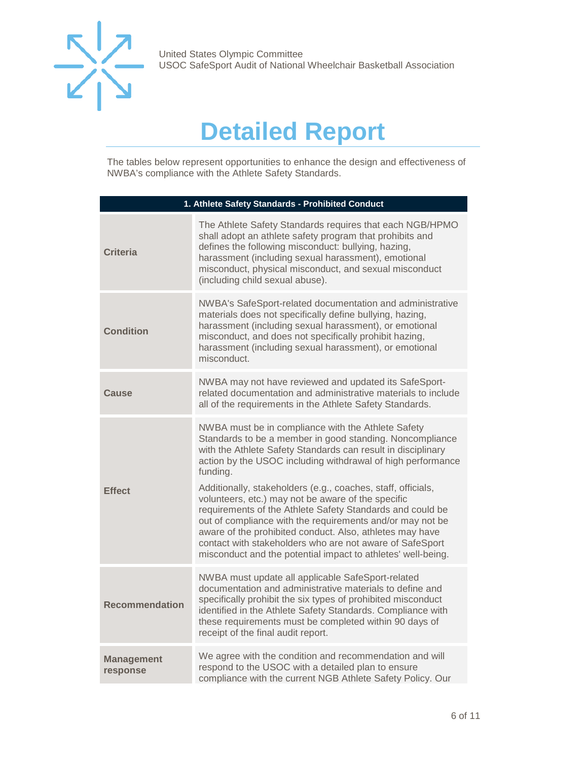

## **Detailed Report**

The tables below represent opportunities to enhance the design and effectiveness of NWBA's compliance with the Athlete Safety Standards.

| 1. Athlete Safety Standards - Prohibited Conduct |                                                                                                                                                                                                                                                                                                                                                                                                                                                                                                                                                                                                                                                                                                   |  |
|--------------------------------------------------|---------------------------------------------------------------------------------------------------------------------------------------------------------------------------------------------------------------------------------------------------------------------------------------------------------------------------------------------------------------------------------------------------------------------------------------------------------------------------------------------------------------------------------------------------------------------------------------------------------------------------------------------------------------------------------------------------|--|
| <b>Criteria</b>                                  | The Athlete Safety Standards requires that each NGB/HPMO<br>shall adopt an athlete safety program that prohibits and<br>defines the following misconduct: bullying, hazing,<br>harassment (including sexual harassment), emotional<br>misconduct, physical misconduct, and sexual misconduct<br>(including child sexual abuse).                                                                                                                                                                                                                                                                                                                                                                   |  |
| <b>Condition</b>                                 | NWBA's SafeSport-related documentation and administrative<br>materials does not specifically define bullying, hazing,<br>harassment (including sexual harassment), or emotional<br>misconduct, and does not specifically prohibit hazing,<br>harassment (including sexual harassment), or emotional<br>misconduct.                                                                                                                                                                                                                                                                                                                                                                                |  |
| Cause                                            | NWBA may not have reviewed and updated its SafeSport-<br>related documentation and administrative materials to include<br>all of the requirements in the Athlete Safety Standards.                                                                                                                                                                                                                                                                                                                                                                                                                                                                                                                |  |
| <b>Effect</b>                                    | NWBA must be in compliance with the Athlete Safety<br>Standards to be a member in good standing. Noncompliance<br>with the Athlete Safety Standards can result in disciplinary<br>action by the USOC including withdrawal of high performance<br>funding.<br>Additionally, stakeholders (e.g., coaches, staff, officials,<br>volunteers, etc.) may not be aware of the specific<br>requirements of the Athlete Safety Standards and could be<br>out of compliance with the requirements and/or may not be<br>aware of the prohibited conduct. Also, athletes may have<br>contact with stakeholders who are not aware of SafeSport<br>misconduct and the potential impact to athletes' well-being. |  |
| <b>Recommendation</b>                            | NWBA must update all applicable SafeSport-related<br>documentation and administrative materials to define and<br>specifically prohibit the six types of prohibited misconduct<br>identified in the Athlete Safety Standards. Compliance with<br>these requirements must be completed within 90 days of<br>receipt of the final audit report.                                                                                                                                                                                                                                                                                                                                                      |  |
| <b>Management</b><br>response                    | We agree with the condition and recommendation and will<br>respond to the USOC with a detailed plan to ensure<br>compliance with the current NGB Athlete Safety Policy. Our                                                                                                                                                                                                                                                                                                                                                                                                                                                                                                                       |  |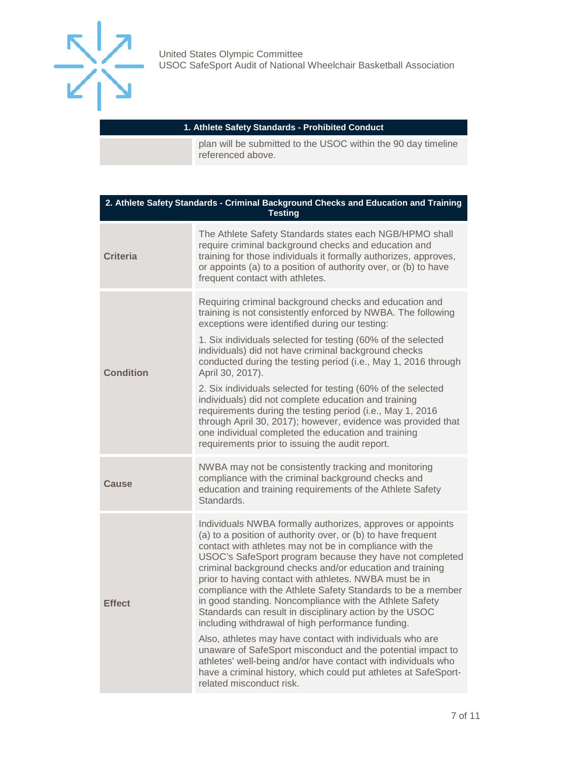

#### **1. Athlete Safety Standards - Prohibited Conduct**

plan will be submitted to the USOC within the 90 day timeline referenced above.

| 2. Athlete Safety Standards - Criminal Background Checks and Education and Training<br><b>Testing</b> |                                                                                                                                                                                                                                                                                                                                                                                                                                                                                                                                                                                                                                                                                                                                                                                                                                                                                                              |  |
|-------------------------------------------------------------------------------------------------------|--------------------------------------------------------------------------------------------------------------------------------------------------------------------------------------------------------------------------------------------------------------------------------------------------------------------------------------------------------------------------------------------------------------------------------------------------------------------------------------------------------------------------------------------------------------------------------------------------------------------------------------------------------------------------------------------------------------------------------------------------------------------------------------------------------------------------------------------------------------------------------------------------------------|--|
| <b>Criteria</b>                                                                                       | The Athlete Safety Standards states each NGB/HPMO shall<br>require criminal background checks and education and<br>training for those individuals it formally authorizes, approves,<br>or appoints (a) to a position of authority over, or (b) to have<br>frequent contact with athletes.                                                                                                                                                                                                                                                                                                                                                                                                                                                                                                                                                                                                                    |  |
| <b>Condition</b>                                                                                      | Requiring criminal background checks and education and<br>training is not consistently enforced by NWBA. The following<br>exceptions were identified during our testing:<br>1. Six individuals selected for testing (60% of the selected<br>individuals) did not have criminal background checks<br>conducted during the testing period (i.e., May 1, 2016 through<br>April 30, 2017).<br>2. Six individuals selected for testing (60% of the selected<br>individuals) did not complete education and training<br>requirements during the testing period (i.e., May 1, 2016<br>through April 30, 2017); however, evidence was provided that<br>one individual completed the education and training<br>requirements prior to issuing the audit report.                                                                                                                                                        |  |
| Cause                                                                                                 | NWBA may not be consistently tracking and monitoring<br>compliance with the criminal background checks and<br>education and training requirements of the Athlete Safety<br>Standards.                                                                                                                                                                                                                                                                                                                                                                                                                                                                                                                                                                                                                                                                                                                        |  |
| <b>Effect</b>                                                                                         | Individuals NWBA formally authorizes, approves or appoints<br>(a) to a position of authority over, or (b) to have frequent<br>contact with athletes may not be in compliance with the<br>USOC's SafeSport program because they have not completed<br>criminal background checks and/or education and training<br>prior to having contact with athletes. NWBA must be in<br>compliance with the Athlete Safety Standards to be a member<br>in good standing. Noncompliance with the Athlete Safety<br>Standards can result in disciplinary action by the USOC<br>including withdrawal of high performance funding.<br>Also, athletes may have contact with individuals who are<br>unaware of SafeSport misconduct and the potential impact to<br>athletes' well-being and/or have contact with individuals who<br>have a criminal history, which could put athletes at SafeSport-<br>related misconduct risk. |  |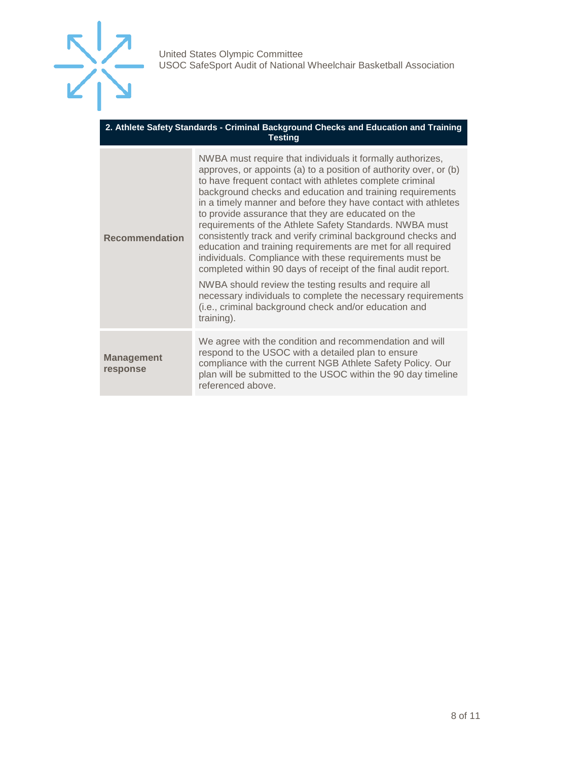

| 2. Athlete Safety Standards - Criminal Background Checks and Education and Training |
|-------------------------------------------------------------------------------------|
| <b>Testing</b>                                                                      |

| <b>Recommendation</b>         | NWBA must require that individuals it formally authorizes,<br>approves, or appoints (a) to a position of authority over, or (b)<br>to have frequent contact with athletes complete criminal<br>background checks and education and training requirements<br>in a timely manner and before they have contact with athletes<br>to provide assurance that they are educated on the<br>requirements of the Athlete Safety Standards. NWBA must<br>consistently track and verify criminal background checks and<br>education and training requirements are met for all required<br>individuals. Compliance with these requirements must be<br>completed within 90 days of receipt of the final audit report.<br>NWBA should review the testing results and require all<br>necessary individuals to complete the necessary requirements<br>(i.e., criminal background check and/or education and<br>training). |
|-------------------------------|----------------------------------------------------------------------------------------------------------------------------------------------------------------------------------------------------------------------------------------------------------------------------------------------------------------------------------------------------------------------------------------------------------------------------------------------------------------------------------------------------------------------------------------------------------------------------------------------------------------------------------------------------------------------------------------------------------------------------------------------------------------------------------------------------------------------------------------------------------------------------------------------------------|
| <b>Management</b><br>response | We agree with the condition and recommendation and will<br>respond to the USOC with a detailed plan to ensure<br>compliance with the current NGB Athlete Safety Policy. Our<br>plan will be submitted to the USOC within the 90 day timeline<br>referenced above.                                                                                                                                                                                                                                                                                                                                                                                                                                                                                                                                                                                                                                        |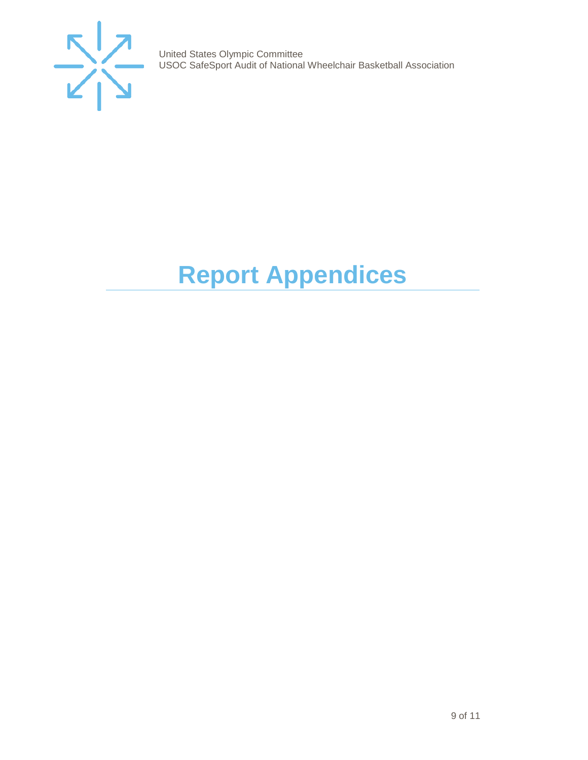

# <span id="page-8-0"></span>**Report Appendices**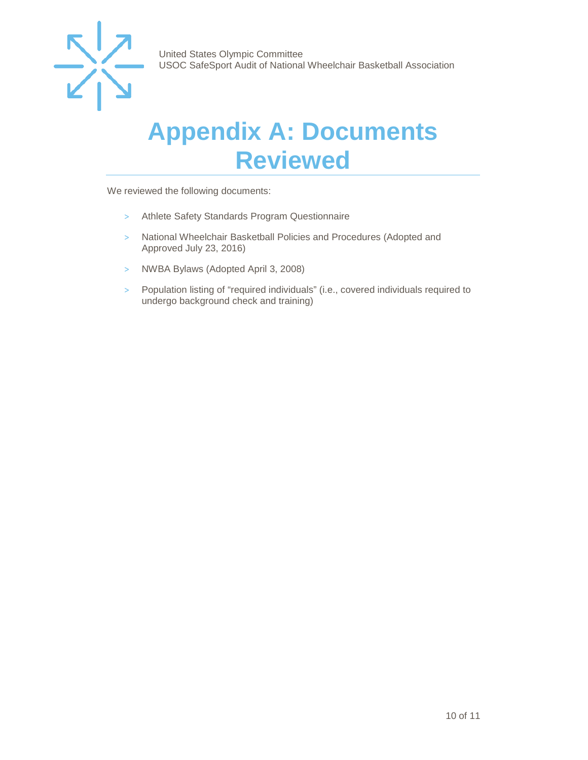

## <span id="page-9-0"></span>**Appendix A: Documents Reviewed**

We reviewed the following documents:

- > Athlete Safety Standards Program Questionnaire
- > National Wheelchair Basketball Policies and Procedures (Adopted and Approved July 23, 2016)
- > NWBA Bylaws (Adopted April 3, 2008)
- > Population listing of "required individuals" (i.e., covered individuals required to undergo background check and training)